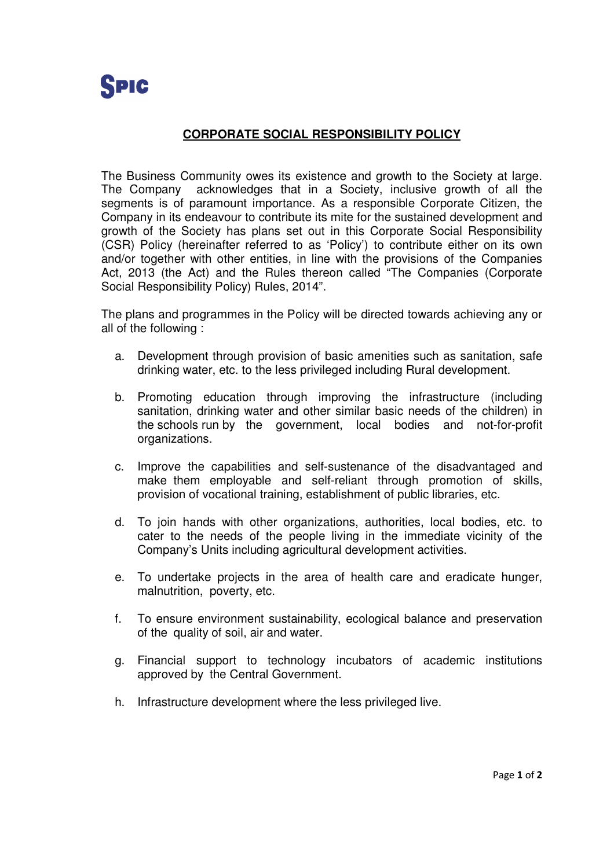## **CORPORATE SOCIAL RESPONSIBILITY POLICY**

The Business Community owes its existence and growth to the Society at large. The Company acknowledges that in a Society, inclusive growth of all the segments is of paramount importance. As a responsible Corporate Citizen, the Company in its endeavour to contribute its mite for the sustained development and growth of the Society has plans set out in this Corporate Social Responsibility (CSR) Policy (hereinafter referred to as 'Policy') to contribute either on its own and/or together with other entities, in line with the provisions of the Companies Act, 2013 (the Act) and the Rules thereon called "The Companies (Corporate Social Responsibility Policy) Rules, 2014".

The plans and programmes in the Policy will be directed towards achieving any or all of the following :

- a. Development through provision of basic amenities such as sanitation, safe drinking water, etc. to the less privileged including Rural development.
- b. Promoting education through improving the infrastructure (including sanitation, drinking water and other similar basic needs of the children) in the schools run by the government, local bodies and not-for-profit organizations.
- c. Improve the capabilities and self-sustenance of the disadvantaged and make them employable and self-reliant through promotion of skills, provision of vocational training, establishment of public libraries, etc.
- d. To join hands with other organizations, authorities, local bodies, etc. to cater to the needs of the people living in the immediate vicinity of the Company's Units including agricultural development activities.
- e. To undertake projects in the area of health care and eradicate hunger, malnutrition, poverty, etc.
- f. To ensure environment sustainability, ecological balance and preservation of the quality of soil, air and water.
- g. Financial support to technology incubators of academic institutions approved by the Central Government.
- h. Infrastructure development where the less privileged live.